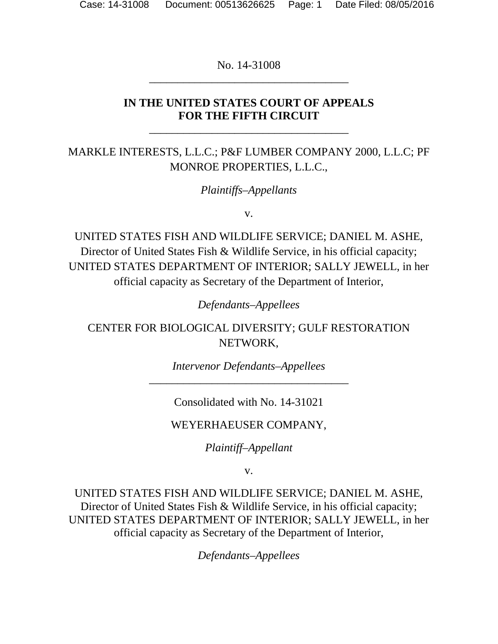No. 14-31008 \_\_\_\_\_\_\_\_\_\_\_\_\_\_\_\_\_\_\_\_\_\_\_\_\_\_\_\_\_\_\_\_\_\_\_

## **IN THE UNITED STATES COURT OF APPEALS FOR THE FIFTH CIRCUIT**

\_\_\_\_\_\_\_\_\_\_\_\_\_\_\_\_\_\_\_\_\_\_\_\_\_\_\_\_\_\_\_\_\_\_\_

MARKLE INTERESTS, L.L.C.; P&F LUMBER COMPANY 2000, L.L.C; PF MONROE PROPERTIES, L.L.C.,

*Plaintiffs–Appellants*

v.

UNITED STATES FISH AND WILDLIFE SERVICE; DANIEL M. ASHE, Director of United States Fish & Wildlife Service, in his official capacity; UNITED STATES DEPARTMENT OF INTERIOR; SALLY JEWELL, in her official capacity as Secretary of the Department of Interior,

*Defendants–Appellees*

CENTER FOR BIOLOGICAL DIVERSITY; GULF RESTORATION NETWORK,

> *Intervenor Defendants–Appellees* \_\_\_\_\_\_\_\_\_\_\_\_\_\_\_\_\_\_\_\_\_\_\_\_\_\_\_\_\_\_\_\_\_\_\_

> > Consolidated with No. 14-31021

WEYERHAEUSER COMPANY,

*Plaintiff–Appellant*

v.

UNITED STATES FISH AND WILDLIFE SERVICE; DANIEL M. ASHE, Director of United States Fish & Wildlife Service, in his official capacity; UNITED STATES DEPARTMENT OF INTERIOR; SALLY JEWELL, in her official capacity as Secretary of the Department of Interior,

*Defendants–Appellees*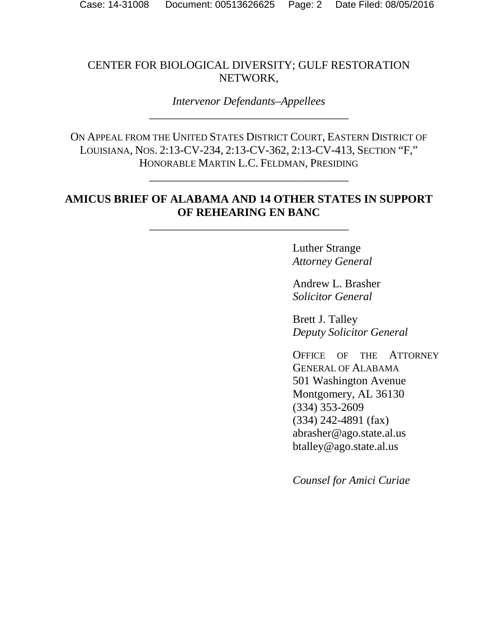## CENTER FOR BIOLOGICAL DIVERSITY; GULF RESTORATION NETWORK,

*Intervenor Defendants–Appellees* \_\_\_\_\_\_\_\_\_\_\_\_\_\_\_\_\_\_\_\_\_\_\_\_\_\_\_\_\_\_\_\_\_\_\_

ON APPEAL FROM THE UNITED STATES DISTRICT COURT, EASTERN DISTRICT OF LOUISIANA, NOS. 2:13-CV-234, 2:13-CV-362, 2:13-CV-413, SECTION "F," HONORABLE MARTIN L.C. FELDMAN, PRESIDING

\_\_\_\_\_\_\_\_\_\_\_\_\_\_\_\_\_\_\_\_\_\_\_\_\_\_\_\_\_\_\_\_\_\_\_

## **AMICUS BRIEF OF ALABAMA AND 14 OTHER STATES IN SUPPORT OF REHEARING EN BANC**

\_\_\_\_\_\_\_\_\_\_\_\_\_\_\_\_\_\_\_\_\_\_\_\_\_\_\_\_\_\_\_\_\_\_\_

Luther Strange *Attorney General*

Andrew L. Brasher *Solicitor General*

Brett J. Talley *Deputy Solicitor General*

OFFICE OF THE ATTORNEY GENERAL OF ALABAMA 501 Washington Avenue Montgomery, AL 36130 (334) 353-2609 (334) 242-4891 (fax) abrasher@ago.state.al.us btalley@ago.state.al.us

*Counsel for Amici Curiae*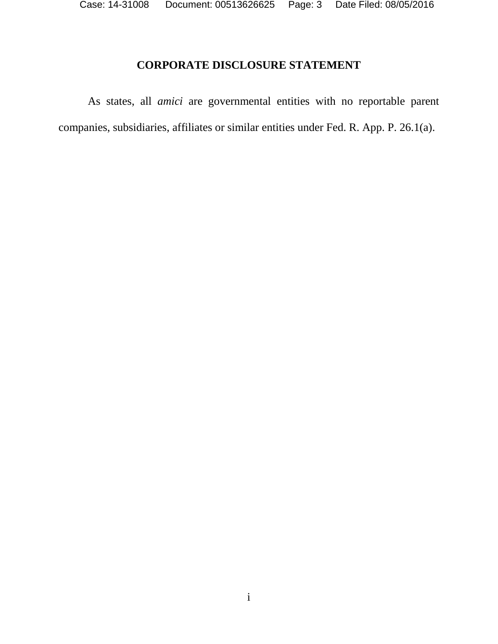## **CORPORATE DISCLOSURE STATEMENT**

<span id="page-2-0"></span>As states, all *amici* are governmental entities with no reportable parent companies, subsidiaries, affiliates or similar entities under Fed. R. App. P. 26.1(a).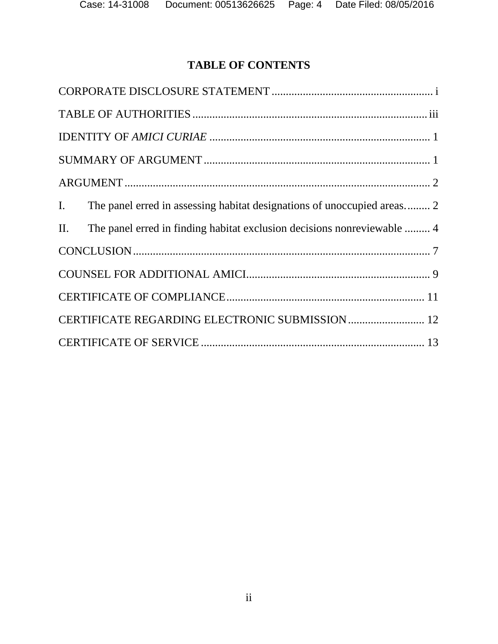# **TABLE OF CONTENTS**

| The panel erred in assessing habitat designations of unoccupied areas 2<br>$I_{\cdot}$ |
|----------------------------------------------------------------------------------------|
| The panel erred in finding habitat exclusion decisions nonreviewable  4<br>II.         |
|                                                                                        |
|                                                                                        |
|                                                                                        |
| CERTIFICATE REGARDING ELECTRONIC SUBMISSION  12                                        |
|                                                                                        |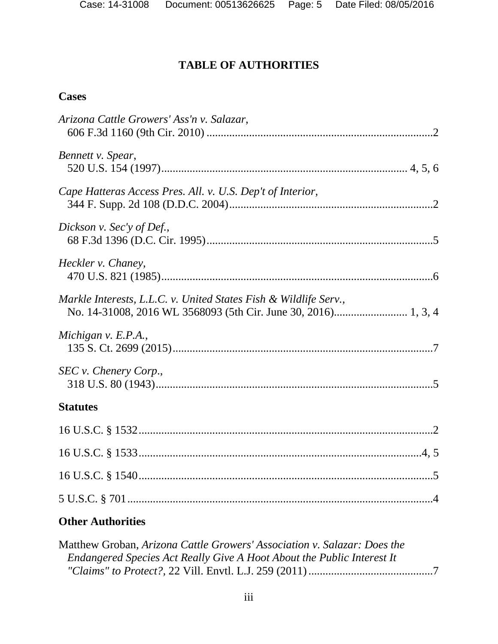# **TABLE OF AUTHORITIES**

# <span id="page-4-0"></span>**Cases**

| Arizona Cattle Growers' Ass'n v. Salazar,                        |
|------------------------------------------------------------------|
| Bennett v. Spear,                                                |
| Cape Hatteras Access Pres. All. v. U.S. Dep't of Interior,       |
| Dickson v. Sec'y of Def.,                                        |
| Heckler v. Chaney,                                               |
| Markle Interests, L.L.C. v. United States Fish & Wildlife Serv., |
| Michigan v. $E.P.A.,$                                            |
| SEC v. Chenery Corp.,                                            |
| <b>Statutes</b>                                                  |
|                                                                  |
|                                                                  |
|                                                                  |
|                                                                  |
| <b>Other Authorities</b>                                         |

| Matthew Groban, Arizona Cattle Growers' Association v. Salazar: Does the |  |
|--------------------------------------------------------------------------|--|
| Endangered Species Act Really Give A Hoot About the Public Interest It   |  |
|                                                                          |  |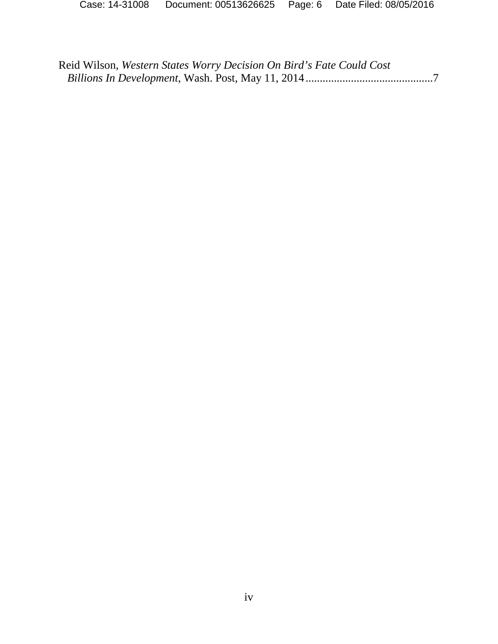Reid Wilson, *Western States Worry Decision On Bird's Fate Could Cost Billions In Development*, Wash. Post, May 11, 2014.............................................7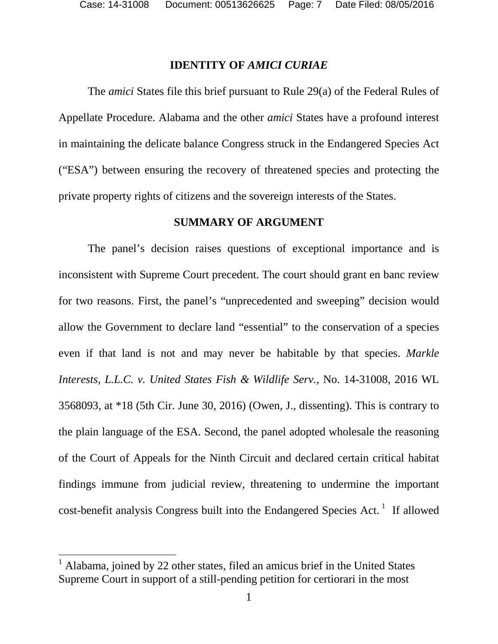#### **IDENTITY OF** *AMICI CURIAE*

<span id="page-6-0"></span>The *amici* States file this brief pursuant to Rule 29(a) of the Federal Rules of Appellate Procedure. Alabama and the other *amici* States have a profound interest in maintaining the delicate balance Congress struck in the Endangered Species Act ("ESA") between ensuring the recovery of threatened species and protecting the private property rights of citizens and the sovereign interests of the States.

#### **SUMMARY OF ARGUMENT**

<span id="page-6-1"></span>The panel's decision raises questions of exceptional importance and is inconsistent with Supreme Court precedent. The court should grant en banc review for two reasons. First, the panel's "unprecedented and sweeping" decision would allow the Government to declare land "essential" to the conservation of a species even if that land is not and may never be habitable by that species. *Markle Interests, L.L.C. v. United States Fish & Wildlife Serv.*, No. 14-31008, 2016 WL 3568093, at \*18 (5th Cir. June 30, 2016) (Owen, J., dissenting). This is contrary to the plain language of the ESA. Second, the panel adopted wholesale the reasoning of the Court of Appeals for the Ninth Circuit and declared certain critical habitat findings immune from judicial review, threatening to undermine the important cost-benefit analysis Congress built into the Endangered Species Act.  $\frac{1}{1}$  $\frac{1}{1}$  $\frac{1}{1}$  If allowed

l

<span id="page-6-2"></span><sup>1</sup> Alabama, joined by 22 other states, filed an amicus brief in the United States Supreme Court in support of a still-pending petition for certiorari in the most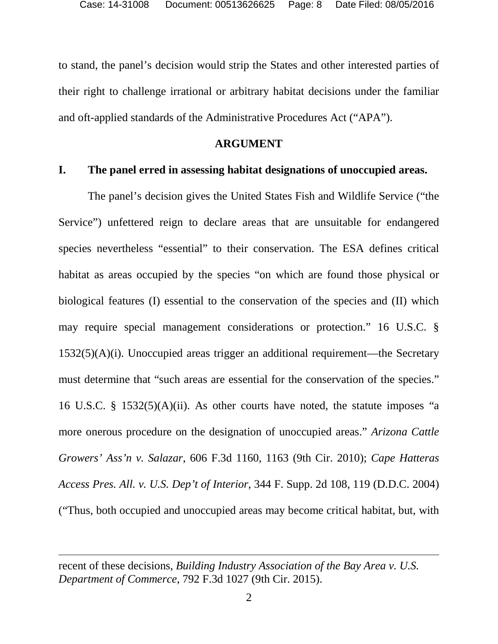to stand, the panel's decision would strip the States and other interested parties of their right to challenge irrational or arbitrary habitat decisions under the familiar and oft-applied standards of the Administrative Procedures Act ("APA").

#### **ARGUMENT**

#### <span id="page-7-1"></span><span id="page-7-0"></span>**I. The panel erred in assessing habitat designations of unoccupied areas.**

The panel's decision gives the United States Fish and Wildlife Service ("the Service") unfettered reign to declare areas that are unsuitable for endangered species nevertheless "essential" to their conservation. The ESA defines critical habitat as areas occupied by the species "on which are found those physical or biological features (I) essential to the conservation of the species and (II) which may require special management considerations or protection." 16 U.S.C. § 1532(5)(A)(i). Unoccupied areas trigger an additional requirement—the Secretary must determine that "such areas are essential for the conservation of the species." 16 U.S.C. § 1532(5)(A)(ii). As other courts have noted, the statute imposes "a more onerous procedure on the designation of unoccupied areas." *Arizona Cattle Growers' Ass'n v. Salazar*, 606 F.3d 1160, 1163 (9th Cir. 2010); *Cape Hatteras Access Pres. All. v. U.S. Dep't of Interior*, 344 F. Supp. 2d 108, 119 (D.D.C. 2004) ("Thus, both occupied and unoccupied areas may become critical habitat, but, with

l

recent of these decisions, *Building Industry Association of the Bay Area v. U.S. Department of Commerce*, 792 F.3d 1027 (9th Cir. 2015).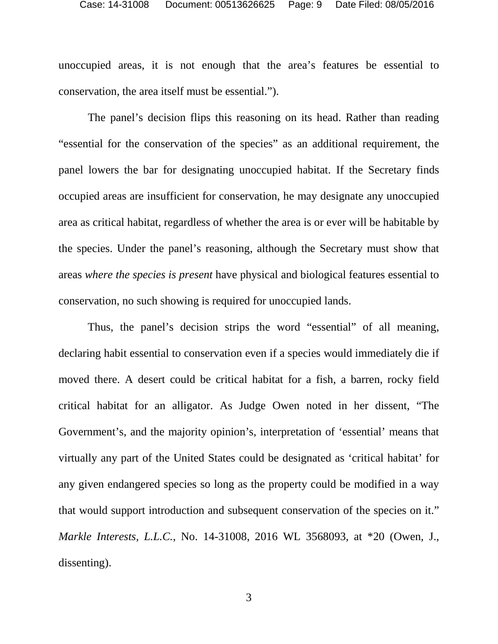unoccupied areas, it is not enough that the area's features be essential to conservation, the area itself must be essential.").

The panel's decision flips this reasoning on its head. Rather than reading "essential for the conservation of the species" as an additional requirement, the panel lowers the bar for designating unoccupied habitat. If the Secretary finds occupied areas are insufficient for conservation, he may designate any unoccupied area as critical habitat, regardless of whether the area is or ever will be habitable by the species. Under the panel's reasoning, although the Secretary must show that areas *where the species is present* have physical and biological features essential to conservation, no such showing is required for unoccupied lands.

Thus, the panel's decision strips the word "essential" of all meaning, declaring habit essential to conservation even if a species would immediately die if moved there. A desert could be critical habitat for a fish, a barren, rocky field critical habitat for an alligator. As Judge Owen noted in her dissent, "The Government's, and the majority opinion's, interpretation of 'essential' means that virtually any part of the United States could be designated as 'critical habitat' for any given endangered species so long as the property could be modified in a way that would support introduction and subsequent conservation of the species on it." *Markle Interests, L.L.C.*, No. 14-31008, 2016 WL 3568093, at \*20 (Owen, J., dissenting).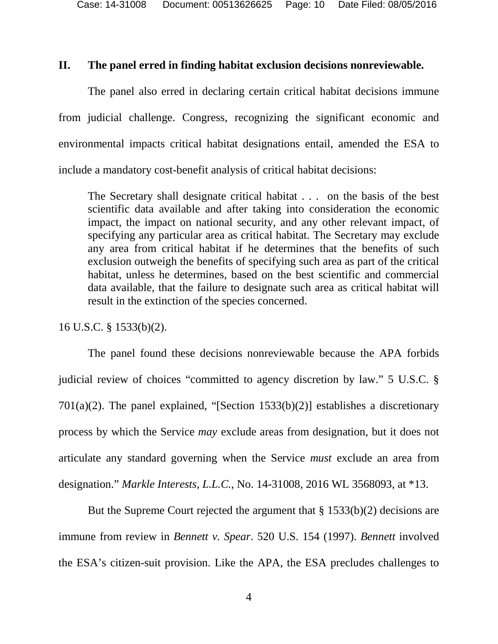### <span id="page-9-0"></span>**II. The panel erred in finding habitat exclusion decisions nonreviewable.**

The panel also erred in declaring certain critical habitat decisions immune from judicial challenge. Congress, recognizing the significant economic and environmental impacts critical habitat designations entail, amended the ESA to include a mandatory cost-benefit analysis of critical habitat decisions:

The Secretary shall designate critical habitat . . . on the basis of the best scientific data available and after taking into consideration the economic impact, the impact on national security, and any other relevant impact, of specifying any particular area as critical habitat. The Secretary may exclude any area from critical habitat if he determines that the benefits of such exclusion outweigh the benefits of specifying such area as part of the critical habitat, unless he determines, based on the best scientific and commercial data available, that the failure to designate such area as critical habitat will result in the extinction of the species concerned.

16 U.S.C. § 1533(b)(2).

The panel found these decisions nonreviewable because the APA forbids judicial review of choices "committed to agency discretion by law." 5 U.S.C. § 701(a)(2). The panel explained, "[Section 1533(b)(2)] establishes a discretionary process by which the Service *may* exclude areas from designation, but it does not articulate any standard governing when the Service *must* exclude an area from designation." *Markle Interests, L.L.C.*, No. 14-31008, 2016 WL 3568093, at \*13.

But the Supreme Court rejected the argument that § 1533(b)(2) decisions are immune from review in *Bennett v. Spear*. 520 U.S. 154 (1997). *Bennett* involved the ESA's citizen-suit provision. Like the APA, the ESA precludes challenges to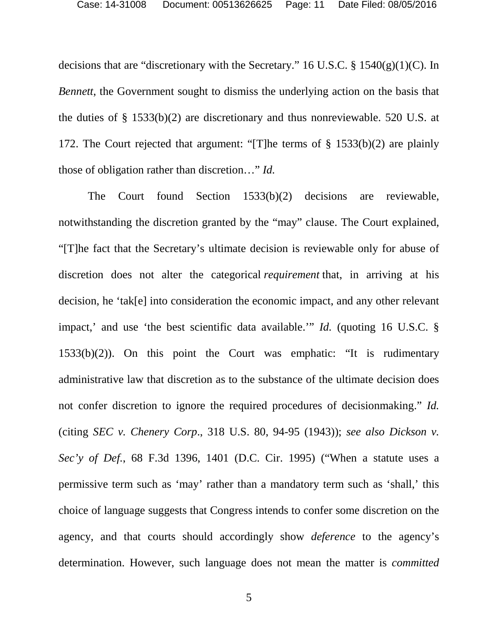decisions that are "discretionary with the Secretary." 16 U.S.C. § 1540(g)(1)(C). In *Bennett*, the Government sought to dismiss the underlying action on the basis that the duties of § 1533(b)(2) are discretionary and thus nonreviewable. 520 U.S. at 172. The Court rejected that argument: "[T]he terms of § 1533(b)(2) are plainly those of obligation rather than discretion…" *Id.*

The Court found Section 1533(b)(2) decisions are reviewable, notwithstanding the discretion granted by the "may" clause. The Court explained, "[T]he fact that the Secretary's ultimate decision is reviewable only for abuse of discretion does not alter the categorical *requirement* that, in arriving at his decision, he 'tak[e] into consideration the economic impact, and any other relevant impact,' and use 'the best scientific data available.'" *Id.* (quoting 16 U.S.C. § 1533(b)(2)). On this point the Court was emphatic: "It is rudimentary administrative law that discretion as to the substance of the ultimate decision does not confer discretion to ignore the required procedures of decisionmaking." *Id.* (citing *SEC v. Chenery Corp*., 318 U.S. 80, 94-95 (1943)); *see also Dickson v. Sec'y of Def.*, 68 F.3d 1396, 1401 (D.C. Cir. 1995) ("When a statute uses a permissive term such as 'may' rather than a mandatory term such as 'shall,' this choice of language suggests that Congress intends to confer some discretion on the agency, and that courts should accordingly show *deference* to the agency's determination. However, such language does not mean the matter is *committed*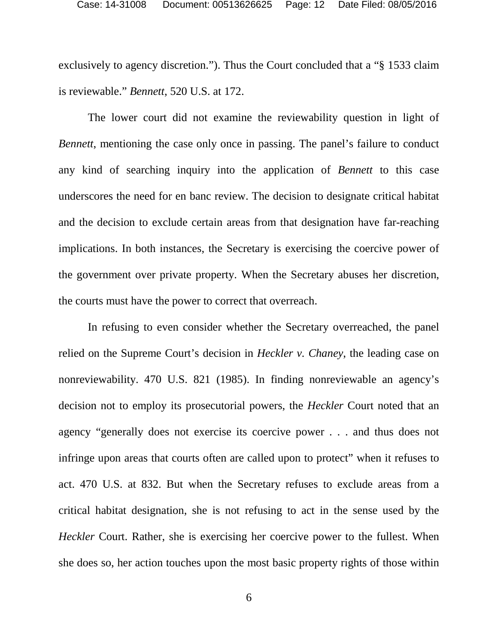exclusively to agency discretion."). Thus the Court concluded that a "§ 1533 claim is reviewable." *Bennett*, 520 U.S. at 172.

The lower court did not examine the reviewability question in light of *Bennett*, mentioning the case only once in passing. The panel's failure to conduct any kind of searching inquiry into the application of *Bennett* to this case underscores the need for en banc review. The decision to designate critical habitat and the decision to exclude certain areas from that designation have far-reaching implications. In both instances, the Secretary is exercising the coercive power of the government over private property. When the Secretary abuses her discretion, the courts must have the power to correct that overreach.

In refusing to even consider whether the Secretary overreached, the panel relied on the Supreme Court's decision in *Heckler v. Chaney*, the leading case on nonreviewability. 470 U.S. 821 (1985). In finding nonreviewable an agency's decision not to employ its prosecutorial powers, the *Heckler* Court noted that an agency "generally does not exercise its coercive power . . . and thus does not infringe upon areas that courts often are called upon to protect" when it refuses to act. 470 U.S. at 832. But when the Secretary refuses to exclude areas from a critical habitat designation, she is not refusing to act in the sense used by the *Heckler* Court. Rather, she is exercising her coercive power to the fullest. When she does so, her action touches upon the most basic property rights of those within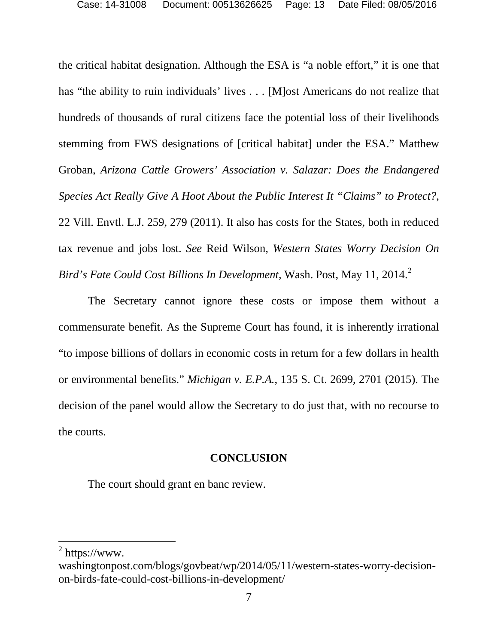the critical habitat designation. Although the ESA is "a noble effort," it is one that has "the ability to ruin individuals' lives . . . [M] ost Americans do not realize that hundreds of thousands of rural citizens face the potential loss of their livelihoods stemming from FWS designations of [critical habitat] under the ESA." Matthew Groban, *Arizona Cattle Growers' Association v. Salazar: Does the Endangered Species Act Really Give A Hoot About the Public Interest It "Claims" to Protect?,* 22 Vill. Envtl. L.J. 259, 279 (2011). It also has costs for the States, both in reduced tax revenue and jobs lost. *See* Reid Wilson, *Western States Worry Decision On Bird's Fate Could Cost Billions In Development*, Wash. Post, May 11, 2014. [2](#page-12-1)

The Secretary cannot ignore these costs or impose them without a commensurate benefit. As the Supreme Court has found, it is inherently irrational "to impose billions of dollars in economic costs in return for a few dollars in health or environmental benefits." *Michigan v. E.P.A.*, 135 S. Ct. 2699, 2701 (2015). The decision of the panel would allow the Secretary to do just that, with no recourse to the courts.

## **CONCLUSION**

<span id="page-12-0"></span>The court should grant en banc review.

l

<span id="page-12-1"></span> $2$  https://www.

washingtonpost.com/blogs/govbeat/wp/2014/05/11/western-states-worry-decisionon-birds-fate-could-cost-billions-in-development/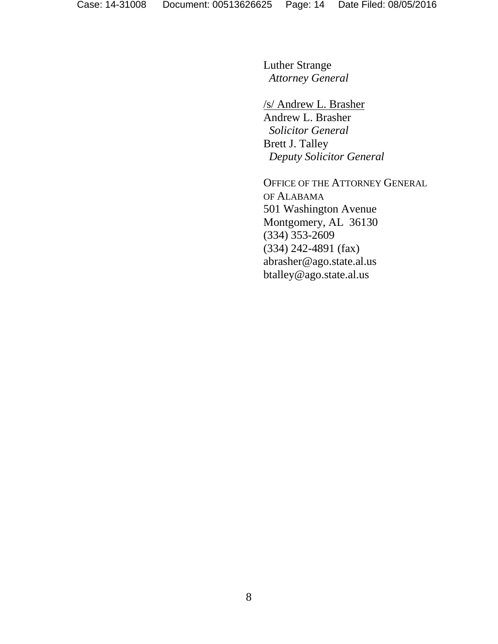Luther Strange *Attorney General*

/s/ Andrew L. Brasher Andrew L. Brasher *Solicitor General* Brett J. Talley *Deputy Solicitor General*

OFFICE OF THE ATTORNEY GENERAL OF ALABAMA 501 Washington Avenue Montgomery, AL 36130 (334) 353-2609 (334) 242-4891 (fax) abrasher@ago.state.al.us btalley@ago.state.al.us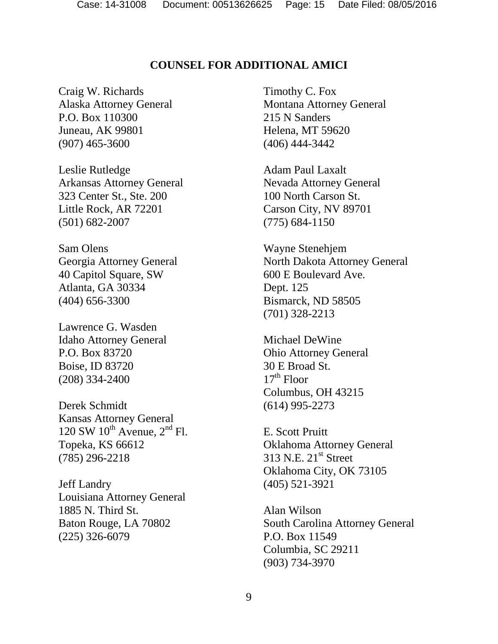## **COUNSEL FOR ADDITIONAL AMICI**

<span id="page-14-0"></span>Craig W. Richards Alaska Attorney General P.O. Box 110300 Juneau, AK 99801 (907) 465-3600

Leslie Rutledge Arkansas Attorney General 323 Center St., Ste. 200 Little Rock, AR 72201 (501) 682-2007

Sam Olens Georgia Attorney General 40 Capitol Square, SW Atlanta, GA 30334 (404) 656-3300

Lawrence G. Wasden Idaho Attorney General P.O. Box 83720 Boise, ID 83720 (208) 334-2400

Derek Schmidt Kansas Attorney General 120 SW  $10^{th}$  Avenue,  $2^{nd}$  Fl. Topeka, KS 66612 (785) 296-2218

Jeff Landry Louisiana Attorney General 1885 N. Third St. Baton Rouge, LA 70802 (225) 326-6079

Timothy C. Fox Montana Attorney General 215 N Sanders Helena, MT 59620 (406) 444-3442

Adam Paul Laxalt Nevada Attorney General 100 North Carson St. Carson City, NV 89701 (775) 684-1150

Wayne Stenehjem North Dakota Attorney General 600 E Boulevard Ave. Dept. 125 Bismarck, ND 58505 (701) 328-2213

Michael DeWine Ohio Attorney General 30 E Broad St.  $17<sup>th</sup>$  Floor Columbus, OH 43215 (614) 995-2273

E. Scott Pruitt Oklahoma Attorney General 313 N.E. 21<sup>st</sup> Street Oklahoma City, OK 73105 (405) 521-3921

Alan Wilson South Carolina Attorney General P.O. Box 11549 Columbia, SC 29211 (903) 734-3970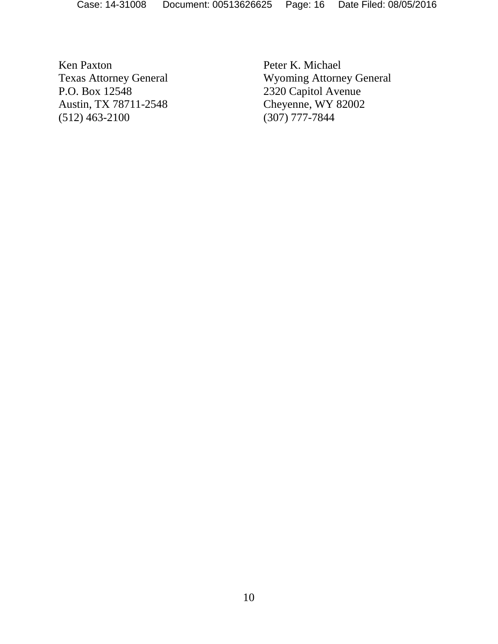Ken Paxton Texas Attorney General P.O. Box 12548 Austin, TX 78711-2548 (512) 463-2100

Peter K. Michael Wyoming Attorney General 2320 Capitol Avenue Cheyenne, WY 82002 (307) 777-7844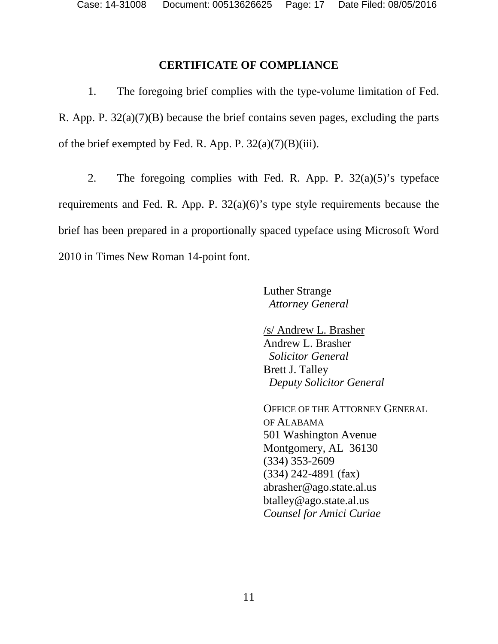#### **CERTIFICATE OF COMPLIANCE**

<span id="page-16-0"></span>1. The foregoing brief complies with the type-volume limitation of Fed. R. App. P. 32(a)(7)(B) because the brief contains seven pages, excluding the parts of the brief exempted by Fed. R. App. P.  $32(a)(7)(B)(iii)$ .

2. The foregoing complies with Fed. R. App. P.  $32(a)(5)$ 's typeface requirements and Fed. R. App. P. 32(a)(6)'s type style requirements because the brief has been prepared in a proportionally spaced typeface using Microsoft Word 2010 in Times New Roman 14-point font.

> Luther Strange *Attorney General*

/s/ Andrew L. Brasher Andrew L. Brasher *Solicitor General* Brett J. Talley *Deputy Solicitor General*

OFFICE OF THE ATTORNEY GENERAL OF ALABAMA 501 Washington Avenue Montgomery, AL 36130 (334) 353-2609 (334) 242-4891 (fax) abrasher@ago.state.al.us btalley@ago.state.al.us *Counsel for Amici Curiae*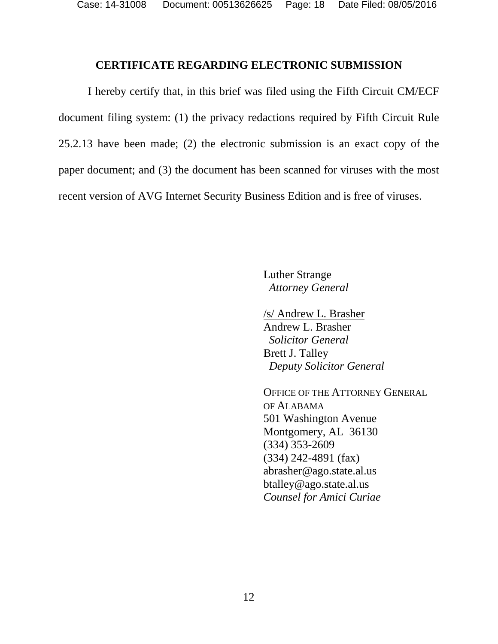Case: 14-31008 Document: 00513626625 Page: 18 Date Filed: 08/05/2016

#### **CERTIFICATE REGARDING ELECTRONIC SUBMISSION**

<span id="page-17-0"></span>I hereby certify that, in this brief was filed using the Fifth Circuit CM/ECF document filing system: (1) the privacy redactions required by Fifth Circuit Rule 25.2.13 have been made; (2) the electronic submission is an exact copy of the paper document; and (3) the document has been scanned for viruses with the most recent version of AVG Internet Security Business Edition and is free of viruses.

> Luther Strange *Attorney General*

/s/ Andrew L. Brasher Andrew L. Brasher *Solicitor General* Brett J. Talley *Deputy Solicitor General*

OFFICE OF THE ATTORNEY GENERAL OF ALABAMA 501 Washington Avenue Montgomery, AL 36130 (334) 353-2609 (334) 242-4891 (fax) abrasher@ago.state.al.us btalley@ago.state.al.us *Counsel for Amici Curiae*